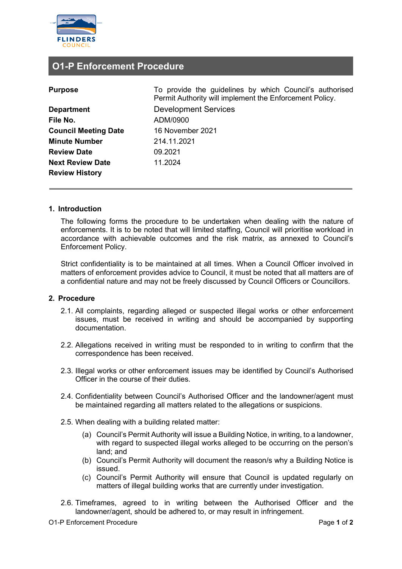

# **O1-P Enforcement Procedure**

| <b>Purpose</b> |
|----------------|

| <b>Department</b>           |
|-----------------------------|
| File No.                    |
| <b>Council Meeting Date</b> |
| <b>Minute Number</b>        |
| <b>Review Date</b>          |
| <b>Next Review Date</b>     |
| <b>Review History</b>       |

**Purpose** To provide the guidelines by which Council's authorised Permit Authority will implement the Enforcement Policy. **Development Services File No.** ADM/0900 **Council Meeting Date** 16 November 2021 **Minute Number** 214.11.2021 **Review Date** 09.2021 **Next Review Date** 11.2024

### **1. Introduction**

The following forms the procedure to be undertaken when dealing with the nature of enforcements. It is to be noted that will limited staffing, Council will prioritise workload in accordance with achievable outcomes and the risk matrix, as annexed to Council's Enforcement Policy.

Strict confidentiality is to be maintained at all times. When a Council Officer involved in matters of enforcement provides advice to Council, it must be noted that all matters are of a confidential nature and may not be freely discussed by Council Officers or Councillors.

#### **2. Procedure**

- 2.1. All complaints, regarding alleged or suspected illegal works or other enforcement issues, must be received in writing and should be accompanied by supporting documentation.
- 2.2. Allegations received in writing must be responded to in writing to confirm that the correspondence has been received.
- 2.3. Illegal works or other enforcement issues may be identified by Council's Authorised Officer in the course of their duties.
- 2.4. Confidentiality between Council's Authorised Officer and the landowner/agent must be maintained regarding all matters related to the allegations or suspicions.
- 2.5. When dealing with a building related matter:
	- (a) Council's Permit Authority will issue a Building Notice, in writing, to a landowner, with regard to suspected illegal works alleged to be occurring on the person's land; and
	- (b) Council's Permit Authority will document the reason/s why a Building Notice is issued.
	- (c) Council's Permit Authority will ensure that Council is updated regularly on matters of illegal building works that are currently under investigation.
- 2.6. Timeframes, agreed to in writing between the Authorised Officer and the landowner/agent, should be adhered to, or may result in infringement.